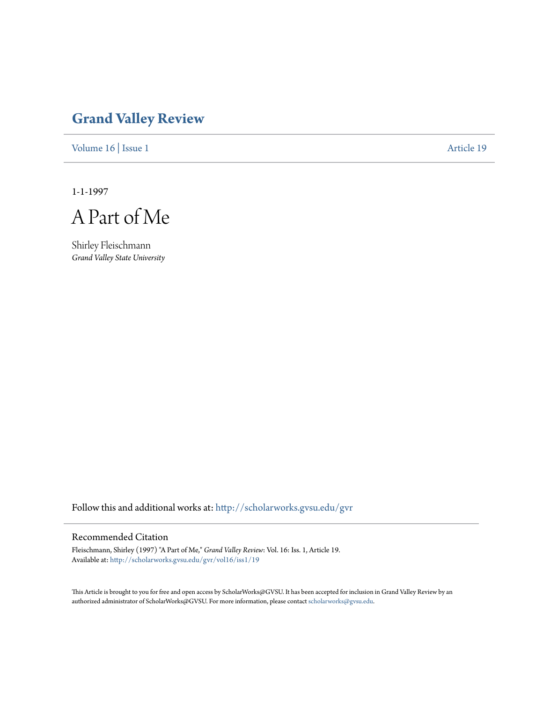## **[Grand Valley Review](http://scholarworks.gvsu.edu/gvr?utm_source=scholarworks.gvsu.edu%2Fgvr%2Fvol16%2Fiss1%2F19&utm_medium=PDF&utm_campaign=PDFCoverPages)**

[Volume 16](http://scholarworks.gvsu.edu/gvr/vol16?utm_source=scholarworks.gvsu.edu%2Fgvr%2Fvol16%2Fiss1%2F19&utm_medium=PDF&utm_campaign=PDFCoverPages) | [Issue 1](http://scholarworks.gvsu.edu/gvr/vol16/iss1?utm_source=scholarworks.gvsu.edu%2Fgvr%2Fvol16%2Fiss1%2F19&utm_medium=PDF&utm_campaign=PDFCoverPages) [Article 19](http://scholarworks.gvsu.edu/gvr/vol16/iss1/19?utm_source=scholarworks.gvsu.edu%2Fgvr%2Fvol16%2Fiss1%2F19&utm_medium=PDF&utm_campaign=PDFCoverPages)

1-1-1997

A Part of Me

Shirley Fleischmann *Grand Valley State University*

Follow this and additional works at: [http://scholarworks.gvsu.edu/gvr](http://scholarworks.gvsu.edu/gvr?utm_source=scholarworks.gvsu.edu%2Fgvr%2Fvol16%2Fiss1%2F19&utm_medium=PDF&utm_campaign=PDFCoverPages)

## Recommended Citation

Fleischmann, Shirley (1997) "A Part of Me," *Grand Valley Review*: Vol. 16: Iss. 1, Article 19. Available at: [http://scholarworks.gvsu.edu/gvr/vol16/iss1/19](http://scholarworks.gvsu.edu/gvr/vol16/iss1/19?utm_source=scholarworks.gvsu.edu%2Fgvr%2Fvol16%2Fiss1%2F19&utm_medium=PDF&utm_campaign=PDFCoverPages)

This Article is brought to you for free and open access by ScholarWorks@GVSU. It has been accepted for inclusion in Grand Valley Review by an authorized administrator of ScholarWorks@GVSU. For more information, please contact [scholarworks@gvsu.edu.](mailto:scholarworks@gvsu.edu)